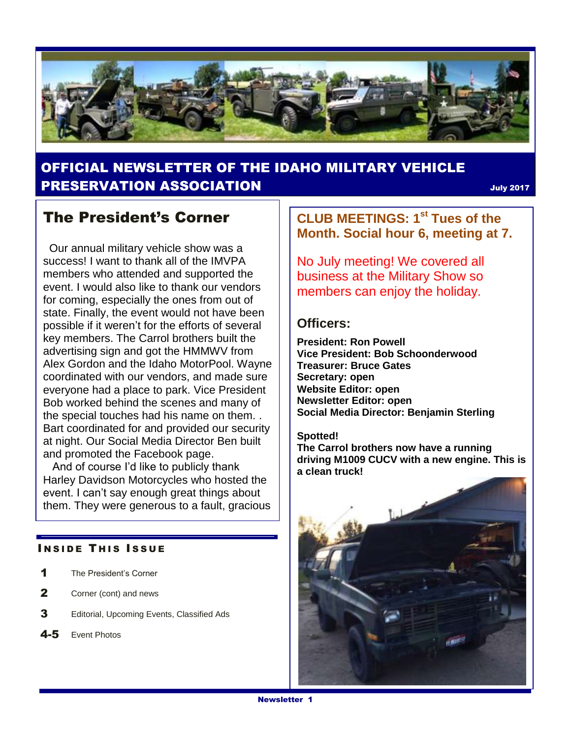

## OFFICIAL NEWSLETTER OF THE IDAHO MILITARY VEHICLE **PRESERVATION ASSOCIATION SECURE 2017** July 2017

## The President's Corner

 Our annual military vehicle show was a success! I want to thank all of the IMVPA members who attended and supported the event. I would also like to thank our vendors for coming, especially the ones from out of state. Finally, the event would not have been possible if it weren't for the efforts of several key members. The Carrol brothers built the advertising sign and got the HMMWV from Alex Gordon and the Idaho MotorPool. Wayne coordinated with our vendors, and made sure everyone had a place to park. Vice President Bob worked behind the scenes and many of the special touches had his name on them. . Bart coordinated for and provided our security at night. Our Social Media Director Ben built and promoted the Facebook page.

 And of course I'd like to publicly thank Harley Davidson Motorcycles who hosted the event. I can't say enough great things about them. They were generous to a fault, gracious

#### **INSIDE THIS ISSUE**

- 1 The President's Corner
- 2 Corner (cont) and news
- 3 Editorial, Upcoming Events, Classified Ads
- 4-5 Event Photos

**CLUB MEETINGS: 1st Tues of the Month. Social hour 6, meeting at 7.** 

No July meeting! We covered all business at the Military Show so members can enjoy the holiday.

#### **Officers:**

**President: Ron Powell Vice President: Bob Schoonderwood Treasurer: Bruce Gates Secretary: open Website Editor: open Newsletter Editor: open Social Media Director: Benjamin Sterling**

#### **Spotted!**

**The Carrol brothers now have a running driving M1009 CUCV with a new engine. This is a clean truck!**

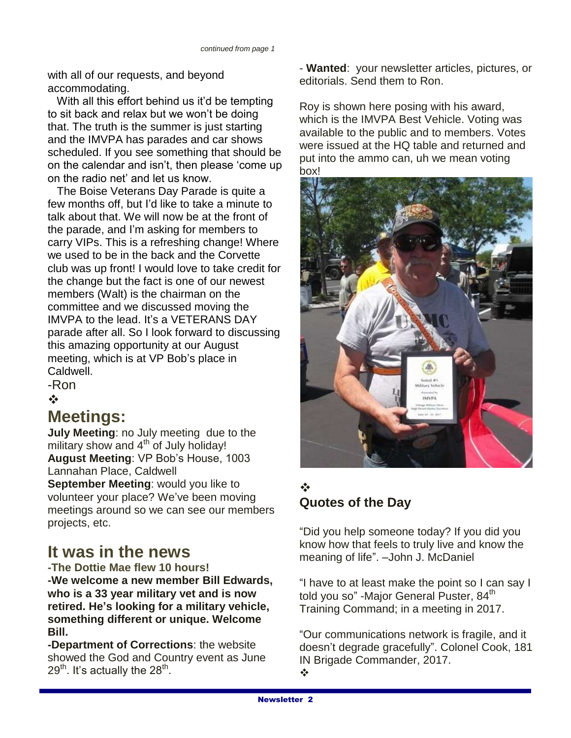with all of our requests, and beyond accommodating.

 With all this effort behind us it'd be tempting to sit back and relax but we won't be doing that. The truth is the summer is just starting and the IMVPA has parades and car shows scheduled. If you see something that should be on the calendar and isn't, then please 'come up on the radio net' and let us know.

 The Boise Veterans Day Parade is quite a few months off, but I'd like to take a minute to talk about that. We will now be at the front of the parade, and I'm asking for members to carry VIPs. This is a refreshing change! Where we used to be in the back and the Corvette club was up front! I would love to take credit for the change but the fact is one of our newest members (Walt) is the chairman on the committee and we discussed moving the IMVPA to the lead. It's a VETERANS DAY parade after all. So I look forward to discussing this amazing opportunity at our August meeting, which is at VP Bob's place in Caldwell.

-Ron

 $\frac{1}{2}$ 

## **Meetings:**

**July Meeting**: no July meeting due to the military show and 4<sup>th</sup> of July holiday! **August Meeting**: VP Bob's House, 1003 Lannahan Place, Caldwell

**September Meeting**: would you like to volunteer your place? We've been moving meetings around so we can see our members projects, etc.

## **It was in the news**

**-The Dottie Mae flew 10 hours! -We welcome a new member Bill Edwards, who is a 33 year military vet and is now retired. He's looking for a military vehicle, something different or unique. Welcome Bill.**

**-Department of Corrections**: the website showed the God and Country event as June 29 $^{\sf th}$ . It's actually the 28 $^{\sf th}$ .

- **Wanted**: your newsletter articles, pictures, or editorials. Send them to Ron.

Roy is shown here posing with his award, which is the IMVPA Best Vehicle. Voting was available to the public and to members. Votes were issued at the HQ table and returned and put into the ammo can, uh we mean voting box!



### ❖ **Quotes of the Day**

"Did you help someone today? If you did you know how that feels to truly live and know the meaning of life". –John J. McDaniel

"I have to at least make the point so I can say I told you so" -Major General Puster, 84<sup>th</sup> Training Command; in a meeting in 2017.

"Our communications network is fragile, and it doesn't degrade gracefully". Colonel Cook, 181 IN Brigade Commander, 2017.  $\mathbf{r}$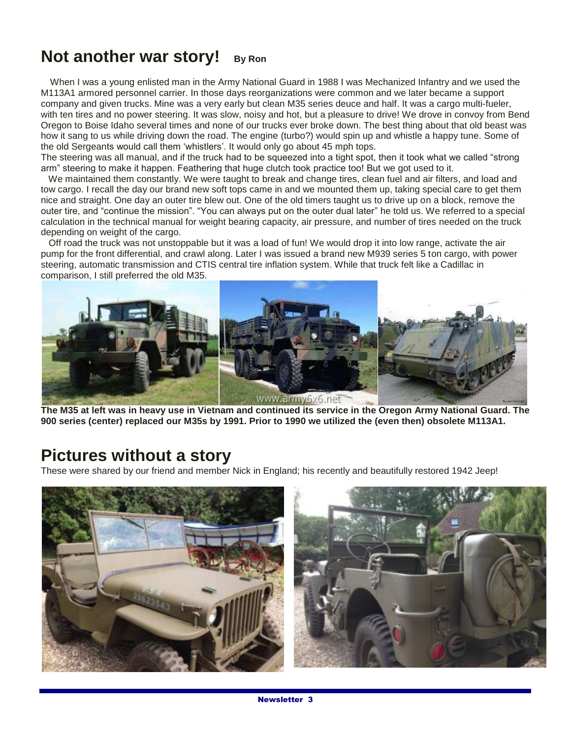# **Not another war story!** By Ron

 When I was a young enlisted man in the Army National Guard in 1988 I was Mechanized Infantry and we used the M113A1 armored personnel carrier. In those days reorganizations were common and we later became a support company and given trucks. Mine was a very early but clean M35 series deuce and half. It was a cargo multi-fueler, with ten tires and no power steering. It was slow, noisy and hot, but a pleasure to drive! We drove in convoy from Bend Oregon to Boise Idaho several times and none of our trucks ever broke down. The best thing about that old beast was how it sang to us while driving down the road. The engine (turbo?) would spin up and whistle a happy tune. Some of the old Sergeants would call them 'whistlers'. It would only go about 45 mph tops.

The steering was all manual, and if the truck had to be squeezed into a tight spot, then it took what we called "strong arm" steering to make it happen. Feathering that huge clutch took practice too! But we got used to it.

We maintained them constantly. We were taught to break and change tires, clean fuel and air filters, and load and tow cargo. I recall the day our brand new soft tops came in and we mounted them up, taking special care to get them nice and straight. One day an outer tire blew out. One of the old timers taught us to drive up on a block, remove the outer tire, and "continue the mission". "You can always put on the outer dual later" he told us. We referred to a special calculation in the technical manual for weight bearing capacity, air pressure, and number of tires needed on the truck depending on weight of the cargo.

 Off road the truck was not unstoppable but it was a load of fun! We would drop it into low range, activate the air pump for the front differential, and crawl along. Later I was issued a brand new M939 series 5 ton cargo, with power steering, automatic transmission and CTIS central tire inflation system. While that truck felt like a Cadillac in comparison, I still preferred the old M35.



**The M35 at left was in heavy use in Vietnam and continued its service in the Oregon Army National Guard. The 900 series (center) replaced our M35s by 1991. Prior to 1990 we utilized the (even then) obsolete M113A1.**

## **Pictures without a story**

These were shared by our friend and member Nick in England; his recently and beautifully restored 1942 Jeep!

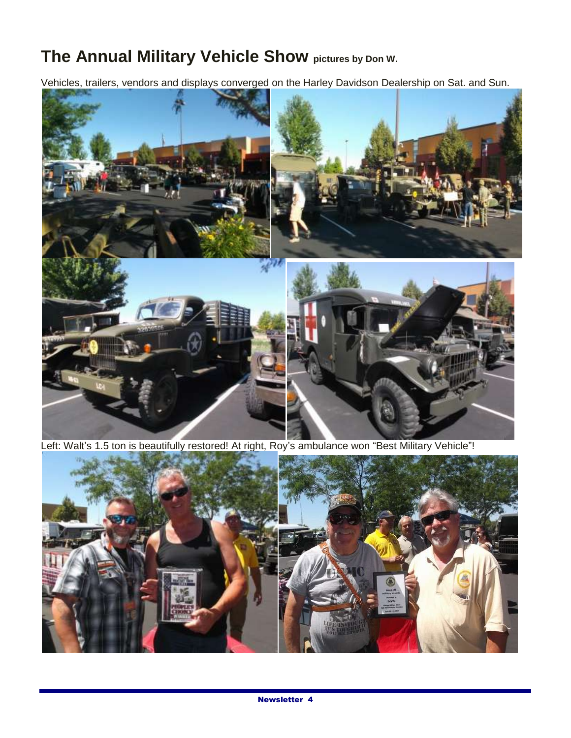# **The Annual Military Vehicle Show pictures by Don W.**

Vehicles, trailers, vendors and displays converged on the Harley Davidson Dealership on Sat. and Sun.



Left: Walt's 1.5 ton is beautifully restored! At right, Roy's ambulance won "Best Military Vehicle"!

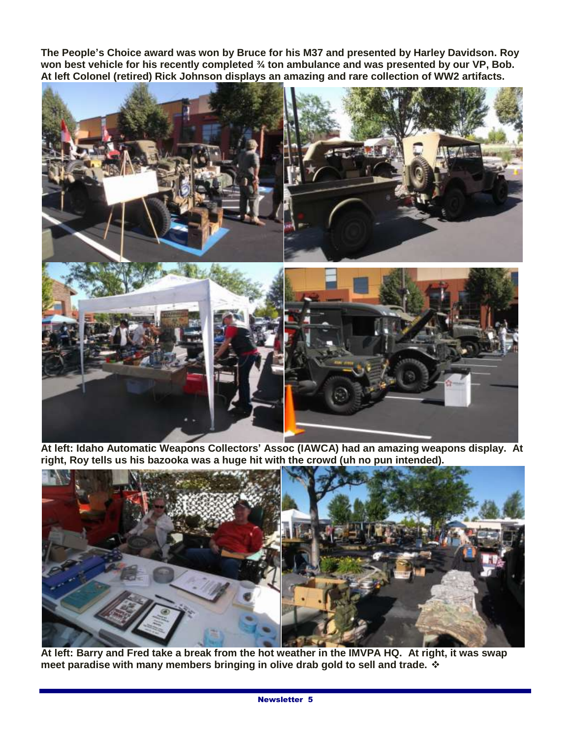**The People's Choice award was won by Bruce for his M37 and presented by Harley Davidson. Roy won best vehicle for his recently completed ¾ ton ambulance and was presented by our VP, Bob. At left Colonel (retired) Rick Johnson displays an amazing and rare collection of WW2 artifacts.** 



**At left: Idaho Automatic Weapons Collectors' Assoc (IAWCA) had an amazing weapons display. At right, Roy tells us his bazooka was a huge hit with the crowd (uh no pun intended).**



**At left: Barry and Fred take a break from the hot weather in the IMVPA HQ. At right, it was swap meet paradise with many members bringing in olive drab gold to sell and trade.**